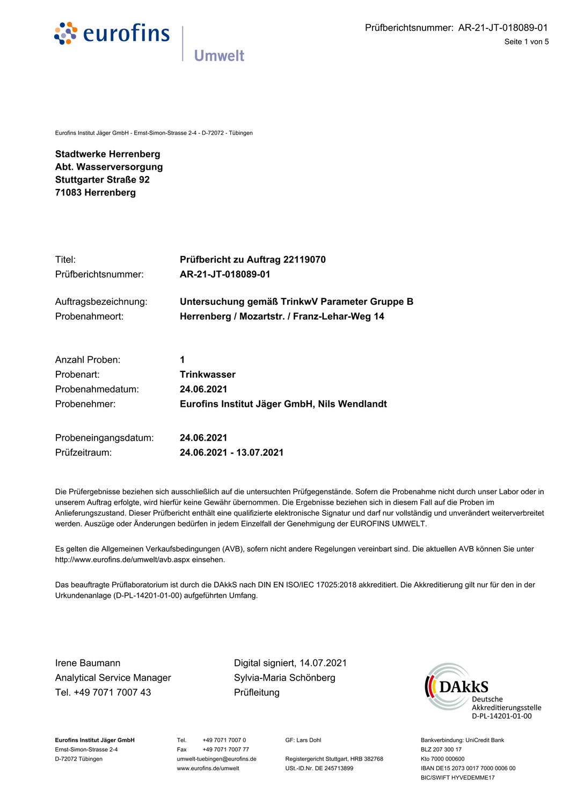

Eurofins Institut Jäger GmbH - Ernst-Simon-Strasse 2-4 - D-72072 - Tübingen

**Stadtwerke Herrenberg** Abt. Wasserversorgung **Stuttgarter Straße 92** 71083 Herrenberg

| Titel:               | Prüfbericht zu Auftrag 22119070               |
|----------------------|-----------------------------------------------|
| Prüfberichtsnummer:  | AR-21-JT-018089-01                            |
| Auftragsbezeichnung: | Untersuchung gemäß TrinkwV Parameter Gruppe B |
| Probenahmeort:       | Herrenberg / Mozartstr. / Franz-Lehar-Weg 14  |
| Anzahl Proben:       | 1                                             |
| Probenart:           | Trinkwasser                                   |
| Probenahmedatum:     | 24 06 2021                                    |

| Probenahmedatum: | 24.06.2021                                   |
|------------------|----------------------------------------------|
| Probenehmer:     | Eurofins Institut Jäger GmbH, Nils Wendlandt |
|                  |                                              |

| Probeneingangsdatum: | 24.06.2021              |
|----------------------|-------------------------|
| Prüfzeitraum:        | 24.06.2021 - 13.07.2021 |

Die Prüfergebnisse beziehen sich ausschließlich auf die untersuchten Prüfgegenstände. Sofern die Probenahme nicht durch unser Labor oder in unserem Auftrag erfolgte, wird hierfür keine Gewähr übernommen. Die Ergebnisse beziehen sich in diesem Fall auf die Proben im Anlieferungszustand. Dieser Prüfbericht enthält eine qualifizierte elektronische Signatur und darf nur vollständig und unverändert weiterverbreitet werden. Auszüge oder Änderungen bedürfen in jedem Einzelfall der Genehmigung der EUROFINS UMWELT.

Es gelten die Allgemeinen Verkaufsbedingungen (AVB), sofern nicht andere Regelungen vereinbart sind. Die aktuellen AVB können Sie unter http://www.eurofins.de/umwelt/avb.aspx einsehen.

Das beauftragte Prüflaboratorium ist durch die DAkkS nach DIN EN ISO/IEC 17025:2018 akkreditiert. Die Akkreditierung gilt nur für den in der Urkundenanlage (D-PL-14201-01-00) aufgeführten Umfang.

Irene Baumann **Analytical Service Manager** Tel. +49 7071 7007 43

Digital signiert, 14.07.2021 Sylvia-Maria Schönberg Prüfleitung



Eurofins Institut Jäger GmbH Ernst-Simon-Strasse 2-4 D-72072 Tübingen

Tel. +49 7071 7007 0 +49 7071 7007 77 Fax umwelt-tuebingen@eurofins.de www.eurofins.de/umwelt

GF: Lars Dohl

Registergericht Stuttgart, HRB 382768 USt.-ID.Nr. DE 245713899

Bankverbindung: UniCredit Bank BLZ 207 300 17 Kto 7000 000600 IBAN DE15 2073 0017 7000 0006 00 BIC/SWIFT HYVEDEMME17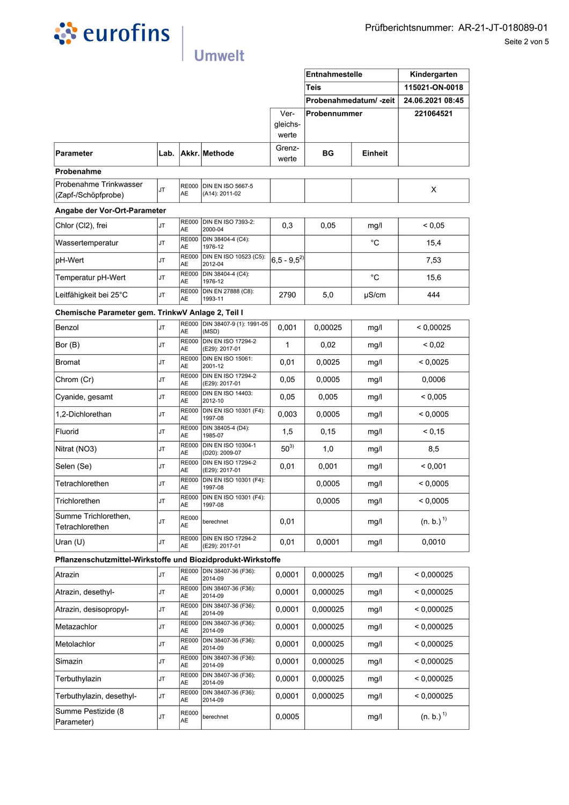

|                                                              |           |                           |                                             | Ver-                  | Probenahmedatum/-zeit<br>Probennummer |             | 24.06.2021 08:45<br>221064521 |
|--------------------------------------------------------------|-----------|---------------------------|---------------------------------------------|-----------------------|---------------------------------------|-------------|-------------------------------|
|                                                              |           |                           |                                             | gleichs-<br>werte     |                                       |             |                               |
| <b>Parameter</b>                                             | Lab.      |                           | Akkr. Methode                               | Grenz-<br>werte       | BG                                    | Einheit     |                               |
| Probenahme                                                   |           |                           |                                             |                       |                                       |             |                               |
| Probenahme Trinkwasser<br>(Zapf-/Schöpfprobe)                | <b>JT</b> | <b>AE</b>                 | RE000 DIN EN ISO 5667-5<br>(A14): 2011-02   |                       |                                       |             | X                             |
| Angabe der Vor-Ort-Parameter                                 |           |                           |                                             |                       |                                       |             |                               |
| Chlor (Cl2), frei                                            | <b>JT</b> | <b>AE</b>                 | RE000 DIN EN ISO 7393-2:<br>2000-04         | 0,3                   | 0,05                                  | mg/l        | ${}_{0,05}$                   |
| Wassertemperatur                                             | <b>JT</b> | <b>AE</b>                 | RE000 DIN 38404-4 (C4):<br>1976-12          |                       |                                       | $^{\circ}C$ | 15,4                          |
| pH-Wert                                                      | <b>JT</b> | AE                        | RE000 DIN EN ISO 10523 (C5):<br>2012-04     | $ 6,5 - 9,5^2\rangle$ |                                       |             | 7,53                          |
| Temperatur pH-Wert                                           | <b>JT</b> | AE                        | RE000 DIN 38404-4 (C4):<br>1976-12          |                       |                                       | $^{\circ}C$ | 15,6                          |
| Leitfähigkeit bei 25°C                                       | <b>JT</b> | AE                        | RE000 DIN EN 27888 (C8):<br>1993-11         | 2790                  | 5,0                                   | µS/cm       | 444                           |
| Chemische Parameter gem. TrinkwV Anlage 2, Teil I            |           |                           |                                             |                       |                                       |             |                               |
| Benzol                                                       | <b>JT</b> | AE                        | RE000 DIN 38407-9 (1): 1991-05<br>(MSD)     | 0,001                 | 0,00025                               | mg/l        | < 0.00025                     |
| Bor (B)                                                      | <b>JT</b> | AE                        | RE000 DIN EN ISO 17294-2<br>(E29): 2017-01  | 1                     | 0,02                                  | mg/l        | ${}_{0.02}$                   |
| Bromat                                                       | <b>JT</b> | <b>AE</b>                 | RE000 DIN EN ISO 15061:<br>2001-12          | 0,01                  | 0,0025                                | mg/l        | < 0,0025                      |
| Chrom (Cr)                                                   | <b>JT</b> | AE                        | RE000 DIN EN ISO 17294-2<br>(E29): 2017-01  | 0,05                  | 0,0005                                | mg/l        | 0,0006                        |
| Cyanide, gesamt                                              | <b>JT</b> | AE                        | RE000 DIN EN ISO 14403:<br>2012-10          | 0,05                  | 0,005                                 | mg/l        | ${}_{0.005}$                  |
| 1,2-Dichlorethan                                             | <b>JT</b> | <b>RE000</b><br>AE        | DIN EN ISO 10301 (F4):<br>1997-08           | 0,003                 | 0,0005                                | mg/l        | < 0.0005                      |
| Fluorid                                                      | <b>JT</b> | <b>RE000</b><br>AE        | DIN 38405-4 (D4):<br>1985-07                | 1,5                   | 0,15                                  | mg/l        | < 0,15                        |
| Nitrat (NO3)                                                 | <b>JT</b> | <b>RE000</b><br><b>AE</b> | <b>DIN EN ISO 10304-1</b><br>(D20): 2009-07 | $50^{3)}$             | 1,0                                   | mg/l        | 8,5                           |
| Selen (Se)                                                   | <b>JT</b> | RE000<br>AE               | <b>DIN EN ISO 17294-2</b><br>(E29): 2017-01 | 0,01                  | 0,001                                 | mg/l        | < 0.001                       |
| Tetrachlorethen                                              | <b>JT</b> | RE000<br>AE               | DIN EN ISO 10301 (F4):<br>1997-08           |                       | 0,0005                                | mg/l        | < 0.0005                      |
| Trichlorethen                                                | JT        | AE                        | RE000 DIN EN ISO 10301 (F4):<br>1997-08     |                       | 0,0005                                | mg/l        | < 0,0005                      |
| Summe Trichlorethen,<br>Tetrachlorethen                      | <b>JT</b> | <b>RE000</b><br>AE        | berechnet                                   | 0,01                  |                                       | mg/l        | $(n. b.)$ <sup>1)</sup>       |
| Uran $(U)$                                                   | <b>JT</b> | <b>RE000</b><br>AE        | DIN EN ISO 17294-2<br>(E29): 2017-01        | 0,01                  | 0,0001                                | mg/l        | 0,0010                        |
| Pflanzenschutzmittel-Wirkstoffe und Biozidprodukt-Wirkstoffe |           |                           |                                             |                       |                                       |             |                               |
| Atrazin                                                      | <b>JT</b> | AE                        | RE000 DIN 38407-36 (F36):<br>2014-09        | 0,0001                | 0,000025                              | mg/l        | < 0,000025                    |
| Atrazin, desethyl-                                           | <b>JT</b> | <b>RE000</b><br>AE        | DIN 38407-36 (F36):<br>2014-09              | 0,0001                | 0,000025                              | mg/l        | < 0.000025                    |
| Atrazin, desisopropyl-                                       | <b>JT</b> | <b>RE000</b><br>AE        | DIN 38407-36 (F36):<br>2014-09              | 0,0001                | 0,000025                              | mg/l        | < 0,000025                    |
| Metazachlor                                                  | <b>JT</b> | <b>RE000</b><br><b>AE</b> | DIN 38407-36 (F36):<br>2014-09              | 0,0001                | 0,000025                              | mg/l        | < 0,000025                    |
| Metolachlor                                                  | <b>JT</b> | <b>RE000</b><br>AE        | DIN 38407-36 (F36):<br>2014-09              | 0,0001                | 0,000025                              | mg/l        | < 0.000025                    |
| Simazin                                                      | <b>JT</b> | <b>RE000</b><br><b>AE</b> | DIN 38407-36 (F36):<br>2014-09              | 0,0001                | 0,000025                              | mg/l        | < 0,000025                    |
| Terbuthylazin                                                | <b>JT</b> | <b>RE000</b><br>AE        | DIN 38407-36 (F36):<br>2014-09              | 0,0001                | 0,000025                              | mg/l        | < 0,000025                    |
| Terbuthylazin, desethyl-                                     | <b>JT</b> | <b>RE000</b><br>AE        | DIN 38407-36 (F36):<br>2014-09              | 0,0001                | 0,000025                              | mg/l        | < 0.000025                    |
| Summe Pestizide (8<br>Parameter)                             | <b>JT</b> | <b>RE000</b><br>AE        | berechnet                                   | 0,0005                |                                       | mg/l        | (n. b.) <sup>1</sup>          |
|                                                              |           |                           |                                             |                       |                                       |             |                               |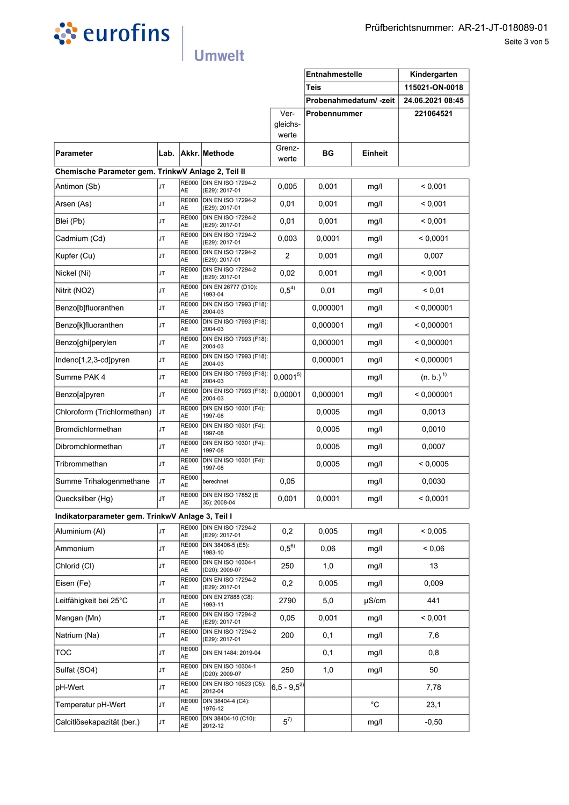

|                                                    |      |                    |                                             |                       | Entnahmestelle<br><b>Teis</b> |             | Kindergarten<br>115021-ON-0018 |
|----------------------------------------------------|------|--------------------|---------------------------------------------|-----------------------|-------------------------------|-------------|--------------------------------|
|                                                    |      |                    |                                             |                       | Probenahmedatum/-zeit         |             | 24.06.2021 08:45               |
|                                                    |      |                    |                                             | Ver-                  | Probennummer                  |             | 221064521                      |
|                                                    |      |                    |                                             | gleichs-<br>werte     |                               |             |                                |
| Parameter                                          | Lab. |                    | Akkr. Methode                               | Grenz-<br>werte       | BG                            | Einheit     |                                |
| Chemische Parameter gem. TrinkwV Anlage 2, Teil II |      |                    |                                             |                       |                               |             |                                |
| Antimon (Sb)                                       | JT   | <b>RE000</b><br>AE | <b>DIN EN ISO 17294-2</b><br>(E29): 2017-01 | 0,005                 | 0,001                         | mg/l        | < 0,001                        |
| Arsen (As)                                         | JT   | <b>RE000</b><br>AE | <b>DIN EN ISO 17294-2</b><br>(E29): 2017-01 | 0,01                  | 0,001                         | mg/l        | < 0,001                        |
| Blei (Pb)                                          | JT   | <b>RE000</b><br>AE | <b>DIN EN ISO 17294-2</b><br>(E29): 2017-01 | 0,01                  | 0,001                         | mg/l        | < 0,001                        |
| Cadmium (Cd)                                       | JT   | <b>RE000</b><br>AE | <b>DIN EN ISO 17294-2</b><br>(E29): 2017-01 | 0,003                 | 0,0001                        | mg/l        | < 0,0001                       |
| Kupfer (Cu)                                        | JT   | <b>RE000</b><br>AE | DIN EN ISO 17294-2<br>(E29): 2017-01        | 2                     | 0,001                         | mg/l        | 0,007                          |
| Nickel (Ni)                                        | JT   | <b>RE000</b><br>AE | <b>DIN EN ISO 17294-2</b><br>(E29): 2017-01 | 0,02                  | 0,001                         | mg/l        | < 0,001                        |
| Nitrit (NO2)                                       | JT   | <b>RE000</b><br>AE | DIN EN 26777 (D10):<br>1993-04              | $0,5^{4)}$            | 0,01                          | mg/l        | ${}_{0.01}$                    |
| Benzo[b]fluoranthen                                | JT   | <b>RE000</b><br>AE | DIN EN ISO 17993 (F18):<br>2004-03          |                       | 0,000001                      | mg/l        | < 0,000001                     |
| Benzo[k]fluoranthen                                | JT   | <b>RE000</b><br>AE | DIN EN ISO 17993 (F18):<br>2004-03          |                       | 0,000001                      | mg/l        | < 0,000001                     |
| Benzo[ghi]perylen                                  | JT   | <b>RE000</b><br>AE | DIN EN ISO 17993 (F18):<br>2004-03          |                       | 0,000001                      | mg/l        | < 0,000001                     |
| Indeno[1,2,3-cd]pyren                              | JT   | RE000<br>AE        | DIN EN ISO 17993 (F18):<br>2004-03          |                       | 0,000001                      | mg/l        | < 0,000001                     |
| Summe PAK 4                                        | JT   | <b>RE000</b><br>AE | DIN EN ISO 17993 (F18):<br>2004-03          | $0,0001^{5}$          |                               | mg/l        | (n. b.) <sup>1</sup>           |
| Benzo[a]pyren                                      | JT   | <b>RE000</b><br>AE | DIN EN ISO 17993 (F18):<br>2004-03          | 0,00001               | 0,000001                      | mg/l        | < 0,000001                     |
| Chloroform (Trichlormethan)                        | JT   | <b>RE000</b><br>AE | DIN EN ISO 10301 (F4):<br>1997-08           |                       | 0,0005                        | mg/l        | 0,0013                         |
| Bromdichlormethan                                  | JT   | <b>RE000</b><br>AE | DIN EN ISO 10301 (F4):<br>1997-08           |                       | 0,0005                        | mg/l        | 0,0010                         |
| Dibromchlormethan                                  | JT   | <b>RE000</b><br>AE | DIN EN ISO 10301 (F4):<br>1997-08           |                       | 0,0005                        | mg/l        | 0,0007                         |
| Tribrommethan                                      | JT   | <b>RE000</b><br>AE | DIN EN ISO 10301 (F4):<br>1997-08           |                       | 0.0005                        | mg/l        | < 0.0005                       |
| Summe Trihalogenmethane                            | JT   | <b>RE000</b><br>AE | berechnet                                   | 0,05                  |                               | mg/l        | 0,0030                         |
| Quecksilber (Hg)                                   | JT   | AE                 | RE000 DIN EN ISO 17852 (E<br>35): 2008-04   | 0,001                 | 0,0001                        | mg/l        | < 0,0001                       |
| Indikatorparameter gem. TrinkwV Anlage 3, Teil I   |      |                    |                                             |                       |                               |             |                                |
| Aluminium (Al)                                     | JT   | <b>RE000</b><br>AE | <b>DIN EN ISO 17294-2</b><br>(E29): 2017-01 | 0,2                   | 0,005                         | mg/l        | ${}< 0,005$                    |
| Ammonium                                           | JT   | <b>RE000</b><br>AЕ | DIN 38406-5 (E5):<br>1983-10                | $0,5^{6}$             | 0,06                          | mg/l        | 0.06                           |
| Chlorid (CI)                                       | JT   | <b>RE000</b><br>AE | <b>DIN EN ISO 10304-1</b><br>(D20): 2009-07 | 250                   | 1,0                           | mg/l        | 13                             |
| Eisen (Fe)                                         | JT   | <b>RE000</b><br>AE | <b>DIN EN ISO 17294-2</b><br>(E29): 2017-01 | 0,2                   | 0,005                         | mg/l        | 0,009                          |
| Leitfähigkeit bei 25°C                             | JT   | <b>RE000</b><br>AE | DIN EN 27888 (C8):<br>1993-11               | 2790                  | 5,0                           | $\mu$ S/cm  | 441                            |
| Mangan (Mn)                                        | JT   | <b>RE000</b><br>AE | <b>DIN EN ISO 17294-2</b><br>(E29): 2017-01 | 0,05                  | 0,001                         | mg/l        | < 0.001                        |
| Natrium (Na)                                       | JT   | <b>RE000</b><br>AE | <b>DIN EN ISO 17294-2</b><br>(E29): 2017-01 | 200                   | 0,1                           | mg/l        | 7,6                            |
| TOC                                                | JT   | <b>RE000</b><br>AE | DIN EN 1484: 2019-04                        |                       | 0,1                           | mg/l        | 0,8                            |
| Sulfat (SO4)                                       | JT   | <b>RE000</b><br>AE | DIN EN ISO 10304-1<br>(D20): 2009-07        | 250                   | 1,0                           | mg/l        | 50                             |
| pH-Wert                                            | JT   | <b>RE000</b><br>AE | DIN EN ISO 10523 (C5):<br>2012-04           | $ 6,5 - 9,5^2\rangle$ |                               |             | 7,78                           |
| Temperatur pH-Wert                                 | JT   | <b>RE000</b><br>AE | DIN 38404-4 (C4):<br>1976-12                |                       |                               | $^{\circ}C$ | 23,1                           |
| Calcitlösekapazität (ber.)                         | JT   | <b>RE000</b><br>AE | DIN 38404-10 (C10):<br>2012-12              | $5^{7}$               |                               | mg/l        | $-0,50$                        |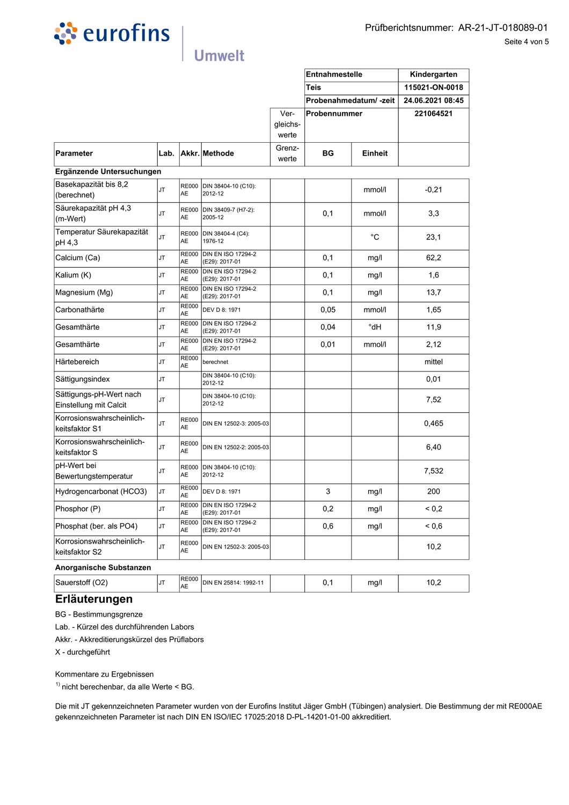

|                                                   |           |                           | <b>Umwelt</b>                               |                   |                                               |                       |                                                                 |
|---------------------------------------------------|-----------|---------------------------|---------------------------------------------|-------------------|-----------------------------------------------|-----------------------|-----------------------------------------------------------------|
|                                                   |           |                           |                                             | Ver-              | <b>Entnahmestelle</b><br>Teis<br>Probennummer | Probenahmedatum/-zeit | Kindergarten<br>115021-ON-0018<br>24.06.2021 08:45<br>221064521 |
|                                                   |           |                           |                                             | gleichs-<br>werte |                                               |                       |                                                                 |
| Parameter                                         | Lab.      |                           | Akkr. Methode                               | Grenz-<br>werte   | <b>BG</b>                                     | Einheit               |                                                                 |
| Ergänzende Untersuchungen                         |           |                           |                                             |                   |                                               |                       |                                                                 |
| Basekapazität bis 8,2<br>(berechnet)              | JT        | <b>AE</b>                 | RE000 DIN 38404-10 (C10):<br>2012-12        |                   |                                               | mmol/l                | $-0,21$                                                         |
| Säurekapazität pH 4,3<br>(m-Wert)                 | <b>JT</b> | <b>RE000</b><br>AE        | DIN 38409-7 (H7-2):<br>2005-12              |                   | 0,1                                           | mmol/l                | 3,3                                                             |
| Temperatur Säurekapazität<br>pH 4,3               | JT        | <b>RE000</b><br>AE        | DIN 38404-4 (C4):<br>1976-12                |                   |                                               | °С                    | 23,1                                                            |
| Calcium (Ca)                                      | <b>JT</b> | <b>RE000</b><br><b>AE</b> | DIN EN ISO 17294-2<br>(E29): 2017-01        |                   | 0,1                                           | mg/l                  | 62,2                                                            |
| Kalium (K)                                        | <b>JT</b> | <b>RE000</b><br><b>AE</b> | <b>DIN EN ISO 17294-2</b><br>(E29): 2017-01 |                   | 0,1                                           | mg/l                  | 1,6                                                             |
| Magnesium (Mg)                                    | <b>JT</b> | <b>RE000</b><br>AE        | DIN EN ISO 17294-2<br>(E29): 2017-01        |                   | 0,1                                           | mg/l                  | 13,7                                                            |
| Carbonathärte                                     | JT.       | <b>RE000</b><br><b>AE</b> | DEV D 8: 1971                               |                   | 0,05                                          | mmol/l                | 1,65                                                            |
| Gesamthärte                                       | JT.       | <b>RE000</b><br>AE        | <b>DIN EN ISO 17294-2</b><br>(E29): 2017-01 |                   | 0,04                                          | °dH                   | 11,9                                                            |
| Gesamthärte                                       | JT        | <b>RE000</b><br>AE        | <b>DIN EN ISO 17294-2</b><br>(E29): 2017-01 |                   | 0,01                                          | mmol/l                | 2,12                                                            |
| Härtebereich                                      | IJт       | <b>RE000</b><br><b>AE</b> | berechnet                                   |                   |                                               |                       | mittel                                                          |
| Sättigungsindex                                   | JT        |                           | DIN 38404-10 (C10):<br>2012-12              |                   |                                               |                       | 0,01                                                            |
| Sättigungs-pH-Wert nach<br>Einstellung mit Calcit | <b>JT</b> |                           | DIN 38404-10 (C10):<br>2012-12              |                   |                                               |                       | 7,52                                                            |
| Korrosionswahrscheinlich-<br>keitsfaktor S1       | <b>JT</b> | <b>RE000</b><br>AE        | DIN EN 12502-3: 2005-03                     |                   |                                               |                       | 0,465                                                           |
| Korrosionswahrscheinlich-<br>keitsfaktor S        | JT        | <b>RE000</b><br><b>AE</b> | DIN EN 12502-2: 2005-03                     |                   |                                               |                       | 6,40                                                            |
| pH-Wert bei<br>Bewertungstemperatur               | JT        | AE                        | RE000 DIN 38404-10 (C10):<br>2012-12        |                   |                                               |                       | 7,532                                                           |
| Hydrogencarbonat (HCO3)                           | JT.       | <b>RE000</b><br>AE        | <b>DEV D 8: 1971</b>                        |                   | 3                                             | mg/l                  | 200                                                             |
| Phosphor (P)                                      | JT.       | <b>RE000</b><br>AE        | <b>DIN EN ISO 17294-2</b><br>(E29): 2017-01 |                   | 0,2                                           | mg/l                  | ${}^{5}$ < 0,2                                                  |
| Phosphat (ber. als PO4)                           | JT.       | <b>RE000</b><br>AE        | <b>DIN EN ISO 17294-2</b><br>(E29): 2017-01 |                   | 0,6                                           | mg/l                  | 0,6                                                             |
| Korrosionswahrscheinlich-<br>keitsfaktor S2       | <b>JT</b> | <b>RE000</b><br><b>AE</b> | DIN EN 12502-3: 2005-03                     |                   |                                               |                       | 10,2                                                            |
| Anorganische Substanzen                           |           |                           |                                             |                   |                                               |                       |                                                                 |
| Sauerstoff (O2)                                   | JТ        | <b>RE000</b><br><b>AE</b> | DIN EN 25814: 1992-11                       |                   | 0,1                                           | mg/l                  | 10,2                                                            |

| Phosphor (P)                                                                                                                                                                                                                            | IJI  | AE                        | (E29): 2017-01                              | ∪,∠ | mg/l | < ∪.∠ |
|-----------------------------------------------------------------------------------------------------------------------------------------------------------------------------------------------------------------------------------------|------|---------------------------|---------------------------------------------|-----|------|-------|
| Phosphat (ber. als PO4)                                                                                                                                                                                                                 | IJT. | <b>RE000</b><br>AE.       | <b>DIN EN ISO 17294-2</b><br>(E29): 2017-01 | 0,6 | mg/l | 0,6   |
| Korrosionswahrscheinlich-<br>keitsfaktor S2                                                                                                                                                                                             | JT.  | <b>RE000</b><br><b>AE</b> | DIN EN 12502-3: 2005-03                     |     |      | 10,2  |
| Anorganische Substanzen                                                                                                                                                                                                                 |      |                           |                                             |     |      |       |
| Sauerstoff (O2)                                                                                                                                                                                                                         | JT   | <b>RE000</b><br><b>AE</b> | DIN EN 25814: 1992-11                       | 0,1 | mg/l | 10,2  |
| Erläuterungen                                                                                                                                                                                                                           |      |                           |                                             |     |      |       |
| BG - Bestimmungsgrenze                                                                                                                                                                                                                  |      |                           |                                             |     |      |       |
| Lab. - Kürzel des durchführenden Labors                                                                                                                                                                                                 |      |                           |                                             |     |      |       |
| Akkr. - Akkreditierungskürzel des Prüflabors                                                                                                                                                                                            |      |                           |                                             |     |      |       |
| X - durchgeführt                                                                                                                                                                                                                        |      |                           |                                             |     |      |       |
| Kommentare zu Ergebnissen                                                                                                                                                                                                               |      |                           |                                             |     |      |       |
| $1$ nicht berechenbar, da alle Werte < BG.                                                                                                                                                                                              |      |                           |                                             |     |      |       |
| Die mit JT gekennzeichneten Parameter wurden von der Eurofins Institut Jäger GmbH (Tübingen) analysiert. Die Bestimmung der mit RE000AE<br>gekennzeichneten Parameter ist nach DIN EN ISO/IEC 17025:2018 D-PL-14201-01-00 akkreditiert. |      |                           |                                             |     |      |       |
|                                                                                                                                                                                                                                         |      |                           |                                             |     |      |       |
|                                                                                                                                                                                                                                         |      |                           |                                             |     |      |       |
|                                                                                                                                                                                                                                         |      |                           |                                             |     |      |       |
|                                                                                                                                                                                                                                         |      |                           |                                             |     |      |       |
|                                                                                                                                                                                                                                         |      |                           |                                             |     |      |       |
|                                                                                                                                                                                                                                         |      |                           |                                             |     |      |       |

### **Eriauteru**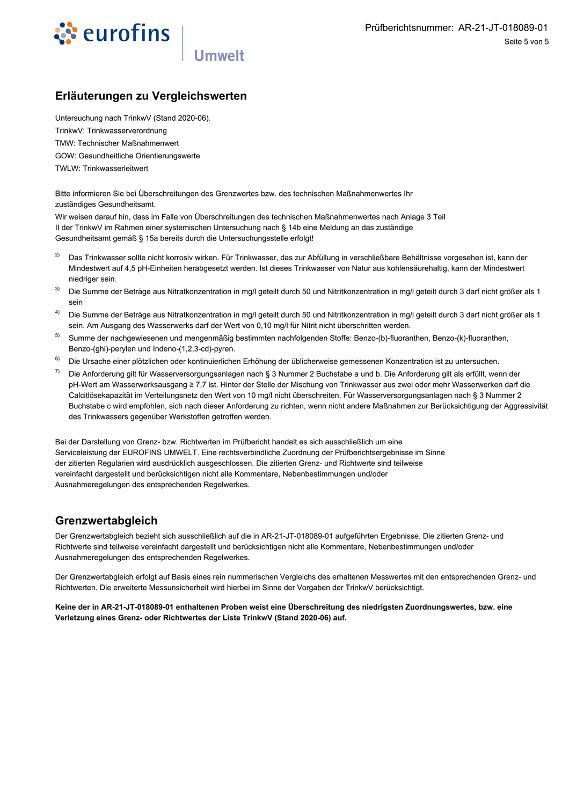

### Erläuterungen zu Vergleichswerten

Untersuchung nach TrinkwV (Stand 2020-06). TrinkwV: Trinkwasserverordnung **TMW: Technischer Maßnahmenwert** GOW: Gesundheitliche Orientierungswerte TWLW: Trinkwasserleitwert

Bitte informieren Sie bei Überschreitungen des Grenzwertes bzw. des technischen Maßnahmenwertes Ihr zuständiges Gesundheitsamt.

Wir weisen darauf hin, dass im Falle von Überschreitungen des technischen Maßnahmenwertes nach Anlage 3 Teil II der TrinkwV im Rahmen einer systemischen Untersuchung nach § 14b eine Meldung an das zuständige Gesundheitsamt gemäß § 15a bereits durch die Untersuchungsstelle erfolgt!

- $2)$ Das Trinkwasser sollte nicht korrosiv wirken. Für Trinkwasser, das zur Abfüllung in verschließbare Behältnisse vorgesehen ist, kann der Mindestwert auf 4,5 pH-Einheiten herabgesetzt werden. Ist dieses Trinkwasser von Natur aus kohlensäurehaltig, kann der Mindestwert niedriger sein.
- $3)$ Die Summe der Beträge aus Nitratkonzentration in mg/l geteilt durch 50 und Nitritkonzentration in mg/l geteilt durch 3 darf nicht größer als 1 sein
- $4)$ Die Summe der Beträge aus Nitratkonzentration in mg/l geteilt durch 50 und Nitritkonzentration in mg/l geteilt durch 3 darf nicht größer als 1 sein. Am Ausgang des Wasserwerks darf der Wert von 0,10 mg/l für Nitrit nicht überschritten werden.
- $5)$ Summe der nachgewiesenen und mengenmäßig bestimmten nachfolgenden Stoffe: Benzo-(b)-fluoranthen, Benzo-(k)-fluoranthen, Benzo-(ghi)-perylen und Indeno-(1,2,3-cd)-pyren.
- $6)$ Die Ursache einer plötzlichen oder kontinuierlichen Erhöhung der üblicherweise gemessenen Konzentration ist zu untersuchen.
- 7) Die Anforderung gilt für Wasserversorgungsanlagen nach § 3 Nummer 2 Buchstabe a und b. Die Anforderung gilt als erfüllt, wenn der pH-Wert am Wasserwerksausgang ≥ 7,7 ist. Hinter der Stelle der Mischung von Trinkwasser aus zwei oder mehr Wasserwerken darf die Calcitlösekapazität im Verteilungsnetz den Wert von 10 mg/l nicht überschreiten. Für Wasserversorgungsanlagen nach § 3 Nummer 2 Buchstabe c wird empfohlen, sich nach dieser Anforderung zu richten, wenn nicht andere Maßnahmen zur Berücksichtigung der Aggressivität des Trinkwassers gegenüber Werkstoffen getroffen werden.

Bei der Darstellung von Grenz- bzw. Richtwerten im Prüfbericht handelt es sich ausschließlich um eine Serviceleistung der EUROFINS UMWELT. Eine rechtsverbindliche Zuordnung der Prüfberichtsergebnisse im Sinne der zitierten Regularien wird ausdrücklich ausgeschlossen. Die zitierten Grenz- und Richtwerte sind teilweise vereinfacht dargestellt und berücksichtigen nicht alle Kommentare, Nebenbestimmungen und/oder Ausnahmeregelungen des entsprechenden Regelwerkes.

### Grenzwertabgleich

Der Grenzwertabgleich bezieht sich ausschließlich auf die in AR-21-JT-018089-01 aufgeführten Ergebnisse. Die zitierten Grenz- und Richtwerte sind teilweise vereinfacht dargestellt und berücksichtigen nicht alle Kommentare, Nebenbestimmungen und/oder Ausnahmeregelungen des entsprechenden Regelwerkes.

Der Grenzwertabgleich erfolgt auf Basis eines rein nummerischen Vergleichs des erhaltenen Messwertes mit den entsprechenden Grenz- und Richtwerten. Die erweiterte Messunsicherheit wird hierbei im Sinne der Vorgaben der TrinkwV berücksichtigt.

Keine der in AR-21-JT-018089-01 enthaltenen Proben weist eine Überschreitung des niedrigsten Zuordnungswertes, bzw. eine Verletzung eines Grenz- oder Richtwertes der Liste TrinkwV (Stand 2020-06) auf.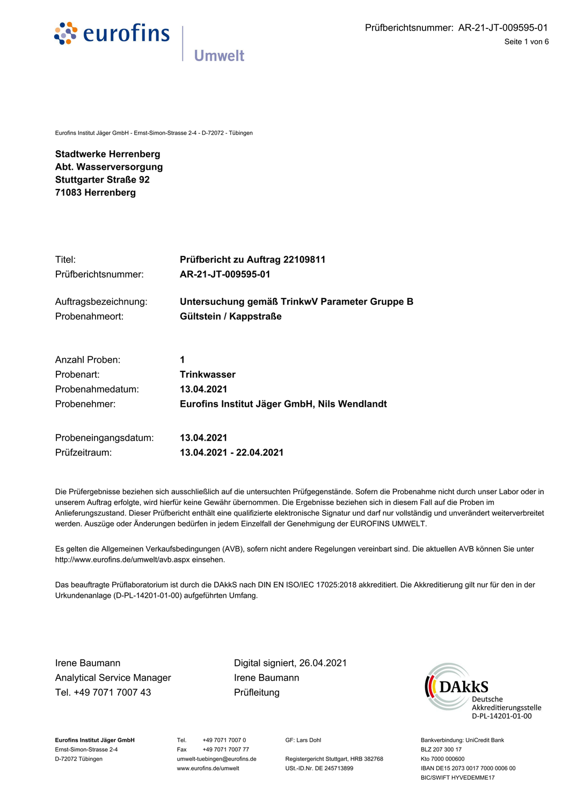

Eurofins Institut Jäger GmbH - Ernst-Simon-Strasse 2-4 - D-72072 - Tübingen

**Stadtwerke Herrenberg** Abt. Wasserversorgung **Stuttgarter Straße 92** 71083 Herrenberg

Probenehmer:

| Titel:               | Prüfbericht zu Auftrag 22109811               |
|----------------------|-----------------------------------------------|
| Prüfberichtsnummer:  | AR-21-JT-009595-01                            |
| Auftragsbezeichnung: | Untersuchung gemäß TrinkwV Parameter Gruppe B |
| Probenahmeort:       | Gültstein / Kappstraße                        |
| Anzahl Proben:       | 1                                             |
| Probenart:           | <b>Trinkwasser</b>                            |
| Probenahmedatum:     | 13.04.2021                                    |

Eurofins Institut Jäger GmbH, Nils Wendlandt

| Probeneingangsdatum: | 13.04.2021              |
|----------------------|-------------------------|
| Prüfzeitraum:        | 13.04.2021 - 22.04.2021 |

Die Prüfergebnisse beziehen sich ausschließlich auf die untersuchten Prüfgegenstände. Sofern die Probenahme nicht durch unser Labor oder in unserem Auftrag erfolgte, wird hierfür keine Gewähr übernommen. Die Ergebnisse beziehen sich in diesem Fall auf die Proben im Anlieferungszustand. Dieser Prüfbericht enthält eine qualifizierte elektronische Signatur und darf nur vollständig und unverändert weiterverbreitet werden. Auszüge oder Änderungen bedürfen in jedem Einzelfall der Genehmigung der EUROFINS UMWELT.

Es gelten die Allgemeinen Verkaufsbedingungen (AVB), sofern nicht andere Regelungen vereinbart sind. Die aktuellen AVB können Sie unter http://www.eurofins.de/umwelt/avb.aspx einsehen.

Das beauftragte Prüflaboratorium ist durch die DAkkS nach DIN EN ISO/IEC 17025:2018 akkreditiert. Die Akkreditierung gilt nur für den in der Urkundenanlage (D-PL-14201-01-00) aufgeführten Umfang.

Irene Baumann **Analytical Service Manager** Tel. +49 7071 7007 43

Digital signiert, 26.04.2021 Irene Baumann Prüfleitung



Eurofins Institut Jäger GmbH Ernst-Simon-Strasse 2-4 D-72072 Tübingen

Tel. +49 7071 7007 0 +49 7071 7007 77 Fax umwelt-tuebingen@eurofins.de www.eurofins.de/umwelt

GF: Lars Dohl

Registergericht Stuttgart, HRB 382768 USt.-ID.Nr. DE 245713899

Bankverbindung: UniCredit Bank BLZ 207 300 17 Kto 7000 000600 IBAN DE15 2073 0017 7000 0006 00 BIC/SWIFT HYVEDEMME17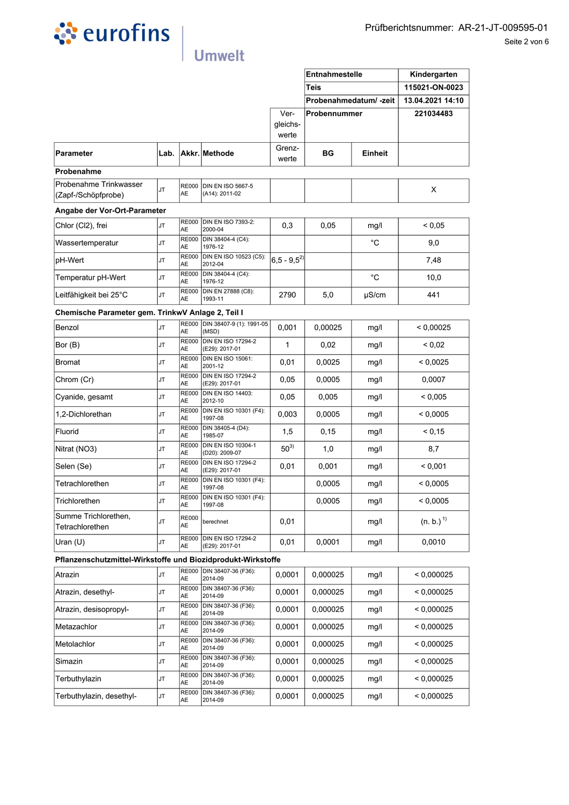

|                                                              |           |                           |                                             |                           | Probenahmedatum/-zeit |             | 13.04.2021 14:10        |
|--------------------------------------------------------------|-----------|---------------------------|---------------------------------------------|---------------------------|-----------------------|-------------|-------------------------|
|                                                              |           |                           |                                             | Ver-<br>gleichs-<br>werte | Probennummer          |             | 221034483               |
| Parameter                                                    | Lab.      |                           | Akkr. Methode                               | Grenz-<br>werte           | BG                    | Einheit     |                         |
| Probenahme                                                   |           |                           |                                             |                           |                       |             |                         |
| Probenahme Trinkwasser<br>(Zapf-/Schöpfprobe)                | <b>JT</b> | <b>AE</b>                 | RE000 DIN EN ISO 5667-5<br>(A14): 2011-02   |                           |                       |             | X                       |
| Angabe der Vor-Ort-Parameter                                 |           |                           |                                             |                           |                       |             |                         |
| Chlor (Cl2), frei                                            | <b>JT</b> | AE                        | RE000 DIN EN ISO 7393-2:<br>2000-04         | 0,3                       | 0,05                  | mg/l        | ${}_{0,05}$             |
| Wassertemperatur                                             | <b>JT</b> | RE000<br><b>AE</b>        | DIN 38404-4 (C4):<br>1976-12                |                           |                       | °C          | 9,0                     |
| pH-Wert                                                      | <b>JT</b> | AE                        | RE000 DIN EN ISO 10523 (C5):<br>2012-04     | $ 6,5 - 9,5^2\rangle$     |                       |             | 7,48                    |
| Temperatur pH-Wert                                           | <b>JT</b> | AE                        | RE000 DIN 38404-4 (C4):<br>1976-12          |                           |                       | $^{\circ}C$ | 10,0                    |
| Leitfähigkeit bei 25°C                                       | <b>JT</b> | AE                        | RE000 DIN EN 27888 (C8):<br>1993-11         | 2790                      | 5,0                   | µS/cm       | 441                     |
| Chemische Parameter gem. TrinkwV Anlage 2, Teil I            |           |                           |                                             |                           |                       |             |                         |
| Benzol                                                       | <b>JT</b> | AE                        | RE000 DIN 38407-9 (1): 1991-05<br>(MSD)     | 0,001                     | 0,00025               | mg/l        | < 0.00025               |
| Bor (B)                                                      | <b>JT</b> | AE                        | RE000 DIN EN ISO 17294-2<br>(E29): 2017-01  | 1                         | 0,02                  | mg/l        | 0,02                    |
| Bromat                                                       | <b>JT</b> | AE                        | RE000 DIN EN ISO 15061:<br>2001-12          | 0,01                      | 0,0025                | mg/l        | < 0,0025                |
| Chrom (Cr)                                                   | <b>JT</b> | AE                        | RE000 DIN EN ISO 17294-2<br>(E29): 2017-01  | 0,05                      | 0,0005                | mg/l        | 0.0007                  |
| Cyanide, gesamt                                              | <b>JT</b> | RE000<br>AE               | <b>DIN EN ISO 14403:</b><br>2012-10         | 0,05                      | 0,005                 | mg/l        | ${}_{0.005}$            |
| 1,2-Dichlorethan                                             | <b>JT</b> | <b>RE000</b><br>AE        | DIN EN ISO 10301 (F4):<br>1997-08           | 0,003                     | 0,0005                | mg/l        | < 0.0005                |
| Fluorid                                                      | <b>JT</b> | <b>RE000</b><br>AE        | DIN 38405-4 (D4):<br>1985-07                | 1,5                       | 0, 15                 | mg/l        | < 0,15                  |
| Nitrat (NO3)                                                 | <b>JT</b> | <b>RE000</b><br><b>AE</b> | DIN EN ISO 10304-1<br>(D20): 2009-07        | $50^{3}$                  | 1,0                   | mg/l        | 8,7                     |
| Selen (Se)                                                   | <b>JT</b> | <b>RE000</b><br>AE        | <b>DIN EN ISO 17294-2</b><br>(E29): 2017-01 | 0,01                      | 0,001                 | mg/l        | < 0.001                 |
| Tetrachlorethen                                              | <b>JT</b> | RE000<br>AE               | DIN EN ISO 10301 (F4):<br>1997-08           |                           | 0,0005                | mg/l        | < 0,0005                |
| Trichlorethen                                                | IJΤ       | AE                        | RE000 DIN EN ISO 10301 (F4):<br>1997-08     |                           | 0,0005                | mg/l        | < 0,0005                |
| Summe Trichlorethen,<br>Tetrachlorethen                      | <b>JT</b> | <b>RE000</b><br>AE        | berechnet                                   | 0,01                      |                       | mg/l        | $(n. b.)$ <sup>1)</sup> |
| Uran $(U)$                                                   | <b>JT</b> | <b>RE000</b><br>AE        | <b>DIN EN ISO 17294-2</b><br>(E29): 2017-01 | 0,01                      | 0,0001                | mg/l        | 0,0010                  |
| Pflanzenschutzmittel-Wirkstoffe und Biozidprodukt-Wirkstoffe |           |                           |                                             |                           |                       |             |                         |
| Atrazin                                                      | <b>JT</b> | AE                        | RE000 DIN 38407-36 (F36):<br>2014-09        | 0,0001                    | 0,000025              | mg/l        | < 0,000025              |
| Atrazin, desethyl-                                           | <b>JT</b> | <b>RE000</b><br>AE        | DIN 38407-36 (F36):<br>2014-09              | 0.0001                    | 0,000025              | mg/l        | < 0.000025              |
| Atrazin, desisopropyl-                                       | <b>JT</b> | <b>RE000</b><br>AE        | DIN 38407-36 (F36):<br>2014-09              | 0,0001                    | 0.000025              | mg/l        | < 0.000025              |
| Metazachlor                                                  | <b>JT</b> | <b>RE000</b><br>AE        | DIN 38407-36 (F36):<br>2014-09              | 0,0001                    | 0,000025              | mg/l        | < 0,000025              |
| Metolachlor                                                  | <b>JT</b> | <b>RE000</b><br>AE        | DIN 38407-36 (F36):<br>2014-09              | 0,0001                    | 0,000025              | mg/l        | < 0.000025              |
| Simazin                                                      | <b>JT</b> | <b>RE000</b><br>AE        | DIN 38407-36 (F36):<br>2014-09              | 0,0001                    | 0,000025              | mg/l        | < 0,000025              |
| Terbuthylazin                                                | <b>JT</b> | RE000<br>AE               | DIN 38407-36 (F36):<br>2014-09              | 0,0001                    | 0,000025              | mg/l        | < 0,000025              |
| Terbuthylazin, desethyl-                                     | <b>JT</b> | <b>RE000</b><br>AE        | DIN 38407-36 (F36):<br>2014-09              | 0,0001                    | 0,000025              | mg/l        | < 0.000025              |
|                                                              |           |                           |                                             |                           |                       |             |                         |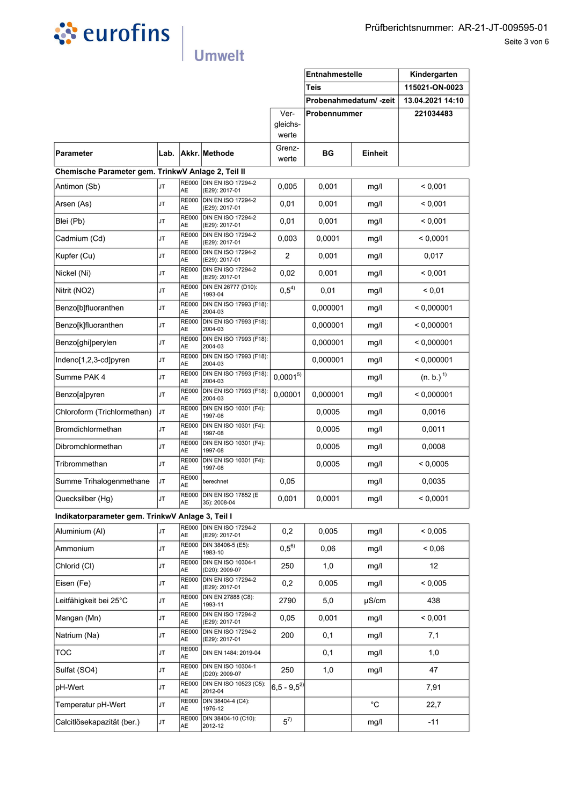

|                                                    |      |                    |                                             |                       | Entnahmestelle<br><b>Teis</b> |             | Kindergarten<br>115021-ON-0023 |
|----------------------------------------------------|------|--------------------|---------------------------------------------|-----------------------|-------------------------------|-------------|--------------------------------|
|                                                    |      |                    |                                             |                       | Probenahmedatum/-zeit         |             | 13.04.2021 14:10               |
|                                                    |      |                    |                                             | Ver-                  | Probennummer                  |             | 221034483                      |
|                                                    |      |                    |                                             | gleichs-<br>werte     |                               |             |                                |
| Parameter                                          | Lab. |                    | Akkr. Methode                               | Grenz-<br>werte       | BG                            | Einheit     |                                |
| Chemische Parameter gem. TrinkwV Anlage 2, Teil II |      |                    |                                             |                       |                               |             |                                |
| Antimon (Sb)                                       | JT   | <b>RE000</b><br>AE | <b>DIN EN ISO 17294-2</b><br>(E29): 2017-01 | 0,005                 | 0,001                         | mg/l        | < 0,001                        |
| Arsen (As)                                         | JT   | <b>RE000</b><br>AE | <b>DIN EN ISO 17294-2</b><br>(E29): 2017-01 | 0,01                  | 0,001                         | mg/l        | < 0,001                        |
| Blei (Pb)                                          | JT   | <b>RE000</b><br>AE | <b>DIN EN ISO 17294-2</b><br>(E29): 2017-01 | 0,01                  | 0,001                         | mg/l        | < 0,001                        |
| Cadmium (Cd)                                       | JT   | <b>RE000</b><br>AE | <b>DIN EN ISO 17294-2</b><br>(E29): 2017-01 | 0,003                 | 0,0001                        | mg/l        | < 0,0001                       |
| Kupfer (Cu)                                        | JT   | <b>RE000</b><br>AE | DIN EN ISO 17294-2<br>(E29): 2017-01        | 2                     | 0,001                         | mg/l        | 0,017                          |
| Nickel (Ni)                                        | JT   | <b>RE000</b><br>AE | <b>DIN EN ISO 17294-2</b><br>(E29): 2017-01 | 0,02                  | 0,001                         | mg/l        | < 0,001                        |
| Nitrit (NO2)                                       | JT   | <b>RE000</b><br>AE | DIN EN 26777 (D10):<br>1993-04              | $0,5^{4)}$            | 0,01                          | mg/l        | ${}_{0.01}$                    |
| Benzo[b]fluoranthen                                | JT   | <b>RE000</b><br>AE | DIN EN ISO 17993 (F18):<br>2004-03          |                       | 0,000001                      | mg/l        | < 0,000001                     |
| Benzo[k]fluoranthen                                | JT   | <b>RE000</b><br>AE | DIN EN ISO 17993 (F18):<br>2004-03          |                       | 0,000001                      | mg/l        | < 0,000001                     |
| Benzo[ghi]perylen                                  | JT   | <b>RE000</b><br>AE | DIN EN ISO 17993 (F18):<br>2004-03          |                       | 0,000001                      | mg/l        | < 0,000001                     |
| Indeno[1,2,3-cd]pyren                              | JT   | RE000<br>AE        | DIN EN ISO 17993 (F18):<br>2004-03          |                       | 0,000001                      | mg/l        | < 0,000001                     |
| Summe PAK 4                                        | JT   | <b>RE000</b><br>AE | DIN EN ISO 17993 (F18):<br>2004-03          | $0,0001^{5}$          |                               | mg/l        | (n. b.) <sup>1</sup>           |
| Benzo[a]pyren                                      | JT   | <b>RE000</b><br>AE | DIN EN ISO 17993 (F18):<br>2004-03          | 0,00001               | 0,000001                      | mg/l        | < 0,000001                     |
| Chloroform (Trichlormethan)                        | JT   | <b>RE000</b><br>AE | DIN EN ISO 10301 (F4):<br>1997-08           |                       | 0,0005                        | mg/l        | 0,0016                         |
| Bromdichlormethan                                  | JT   | <b>RE000</b><br>AE | DIN EN ISO 10301 (F4):<br>1997-08           |                       | 0,0005                        | mg/l        | 0,0011                         |
| Dibromchlormethan                                  | JT   | <b>RE000</b><br>AE | DIN EN ISO 10301 (F4):<br>1997-08           |                       | 0,0005                        | mg/l        | 0,0008                         |
| Tribrommethan                                      | JT   | <b>RE000</b><br>AE | DIN EN ISO 10301 (F4):<br>1997-08           |                       | 0.0005                        | mg/l        | < 0,0005                       |
| Summe Trihalogenmethane                            | JT   | <b>RE000</b><br>AE | berechnet                                   | 0,05                  |                               | mg/l        | 0,0035                         |
| Quecksilber (Hg)                                   | JT   | AE                 | RE000 DIN EN ISO 17852 (E<br>35): 2008-04   | 0,001                 | 0,0001                        | mg/l        | < 0,0001                       |
| Indikatorparameter gem. TrinkwV Anlage 3, Teil I   |      |                    |                                             |                       |                               |             |                                |
| Aluminium (Al)                                     | JT   | <b>RE000</b><br>AE | <b>DIN EN ISO 17294-2</b><br>(E29): 2017-01 | 0,2                   | 0,005                         | mg/l        | ${}< 0,005$                    |
| Ammonium                                           | JT   | <b>RE000</b><br>AЕ | DIN 38406-5 (E5):<br>1983-10                | $0,5^{6}$             | 0,06                          | mg/l        | 0.06                           |
| Chlorid (CI)                                       | JT   | <b>RE000</b><br>AE | DIN EN ISO 10304-1<br>(D20): 2009-07        | 250                   | 1,0                           | mg/l        | 12                             |
| Eisen (Fe)                                         | JT   | <b>RE000</b><br>AE | <b>DIN EN ISO 17294-2</b><br>(E29): 2017-01 | 0,2                   | 0,005                         | mg/l        | ${}_{0.005}$                   |
| Leitfähigkeit bei 25°C                             | JT   | <b>RE000</b><br>AE | DIN EN 27888 (C8):<br>1993-11               | 2790                  | 5,0                           | $\mu$ S/cm  | 438                            |
| Mangan (Mn)                                        | JT   | <b>RE000</b><br>AE | <b>DIN EN ISO 17294-2</b><br>(E29): 2017-01 | 0,05                  | 0,001                         | mg/l        | < 0,001                        |
| Natrium (Na)                                       | JT   | <b>RE000</b><br>AE | <b>DIN EN ISO 17294-2</b><br>(E29): 2017-01 | 200                   | 0,1                           | mg/l        | 7,1                            |
| TOC                                                | JT   | <b>RE000</b><br>AE | DIN EN 1484: 2019-04                        |                       | 0,1                           | mg/l        | 1,0                            |
| Sulfat (SO4)                                       | JT   | <b>RE000</b><br>AE | DIN EN ISO 10304-1<br>(D20): 2009-07        | 250                   | 1,0                           | mg/l        | 47                             |
| pH-Wert                                            | JT   | <b>RE000</b><br>AE | DIN EN ISO 10523 (C5):<br>2012-04           | $ 6,5 - 9,5^2\rangle$ |                               |             | 7,91                           |
| Temperatur pH-Wert                                 | JT   | <b>RE000</b><br>AE | DIN 38404-4 (C4):<br>1976-12                |                       |                               | $^{\circ}C$ | 22,7                           |
| Calcitlösekapazität (ber.)                         | JT   | <b>RE000</b><br>AE | DIN 38404-10 (C10):<br>2012-12              | $5^{7}$               |                               | mg/l        | $-11$                          |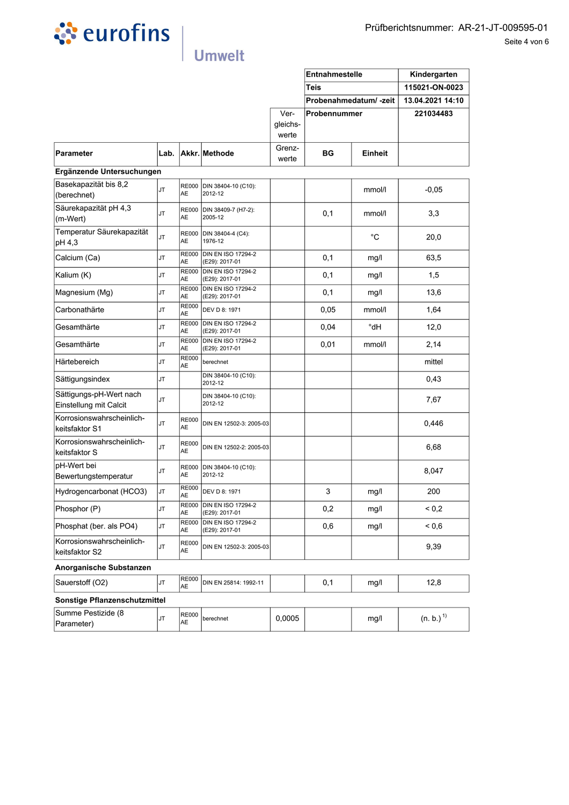

|                  |                       |                  | Prüfberichtsnummer: AR-21-JT-009595-01<br>Seite 4 von 6 |
|------------------|-----------------------|------------------|---------------------------------------------------------|
|                  | Entnahmestelle        | Kindergarten     |                                                         |
|                  | <b>Teis</b>           | 115021-ON-0023   |                                                         |
|                  | Probenahmedatum/-zeit | 13.04.2021 14:10 |                                                         |
| Ver-<br>aleichs- | Probennummer          | 221034483        |                                                         |

|                                                   |           |                           |                                             |                           | <b>Entnahmestelle</b> |               | Kindergarten<br>115021-ON-0023<br>13.04.2021 14:10 |
|---------------------------------------------------|-----------|---------------------------|---------------------------------------------|---------------------------|-----------------------|---------------|----------------------------------------------------|
|                                                   |           |                           |                                             |                           | <b>Teis</b>           |               |                                                    |
|                                                   |           |                           |                                             |                           | Probenahmedatum/-zeit |               |                                                    |
|                                                   |           |                           |                                             | Ver-<br>gleichs-<br>werte | Probennummer          |               | 221034483                                          |
| Parameter                                         |           |                           | Lab. Akkr. Methode                          | Grenz-<br>werte           | BG                    | Einheit       |                                                    |
| Ergänzende Untersuchungen                         |           |                           |                                             |                           |                       |               |                                                    |
| Basekapazität bis 8,2<br>(berechnet)              | JT        | <b>RE000</b><br>AE        | DIN 38404-10 (C10):<br>2012-12              |                           |                       | mmol/l        | $-0,05$                                            |
| Säurekapazität pH 4,3<br>(m-Wert)                 | JT        | <b>RE000</b><br><b>AE</b> | DIN 38409-7 (H7-2):<br>2005-12              |                           | 0,1                   | mmol/l        | 3,3                                                |
| Temperatur Säurekapazität<br>pH 4,3               | JT        | <b>RE000</b><br>AE        | DIN 38404-4 (C4):<br>1976-12                |                           |                       | °C            | 20,0                                               |
| Calcium (Ca)                                      | JT        | <b>RE000</b><br>AE        | DIN EN ISO 17294-2<br>(E29): 2017-01        |                           | 0,1                   | mg/l          | 63,5                                               |
| Kalium (K)                                        | JT        | <b>RE000</b><br>AE        | <b>DIN EN ISO 17294-2</b><br>(E29): 2017-01 |                           | 0,1                   | mg/l          | 1,5                                                |
| Magnesium (Mg)                                    | JT        | <b>RE000</b><br>AE        | <b>DIN EN ISO 17294-2</b><br>(E29): 2017-01 |                           | 0,1                   | mg/l          | 13,6                                               |
| Carbonathärte                                     | JT        | <b>RE000</b><br>AE        | DEV D 8: 1971                               |                           | 0,05                  | mmol/l        | 1,64                                               |
| Gesamthärte                                       | JT        | <b>RE000</b><br>AE        | <b>DIN EN ISO 17294-2</b><br>(E29): 2017-01 |                           | 0,04                  | $^{\circ}$ dH | 12,0                                               |
| Gesamthärte                                       | JT        | <b>RE000</b><br>AE        | <b>DIN EN ISO 17294-2</b><br>(E29): 2017-01 |                           | 0,01                  | mmol/l        | 2,14                                               |
| Härtebereich                                      | JT        | <b>RE000</b><br><b>AE</b> | berechnet                                   |                           |                       |               | mittel                                             |
| Sättigungsindex                                   | <b>JT</b> |                           | DIN 38404-10 (C10):<br>2012-12              |                           |                       |               | 0,43                                               |
| Sättigungs-pH-Wert nach<br>Einstellung mit Calcit | JT        |                           | DIN 38404-10 (C10):<br>2012-12              |                           |                       |               | 7,67                                               |
| Korrosionswahrscheinlich-<br>keitsfaktor S1       | JT        | <b>RE000</b><br>AE        | DIN EN 12502-3: 2005-03                     |                           |                       |               | 0,446                                              |
| Korrosionswahrscheinlich-<br>keitsfaktor S        | JT        | <b>RE000</b><br>AE        | DIN EN 12502-2: 2005-03                     |                           |                       |               | 6,68                                               |
| pH-Wert bei<br>Bewertungstemperatur               | JT        | <b>AE</b>                 | RE000 DIN 38404-10 (C10):<br>2012-12        |                           |                       |               | 8,047                                              |
| Hydrogencarbonat (HCO3)                           | JT        | <b>RE000</b><br>AE        | DEV D 8: 1971                               |                           | 3                     | mg/l          | 200                                                |
| Phosphor (P)                                      | JT        | <b>RE000</b><br>AE        | <b>DIN EN ISO 17294-2</b><br>(E29): 2017-01 |                           | 0,2                   | mg/l          | ${}^{5}$ 0.2                                       |
| Phosphat (ber. als PO4)                           | <b>JT</b> | <b>RE000</b><br>AE        | <b>DIN EN ISO 17294-2</b><br>(E29): 2017-01 |                           | 0,6                   | mg/l          | ${}^{5.0}$                                         |
| Korrosionswahrscheinlich-<br>keitsfaktor S2       | JT        | <b>RE000</b><br>AE        | DIN EN 12502-3: 2005-03                     |                           |                       |               | 9,39                                               |
| Anorganische Substanzen                           |           |                           |                                             |                           |                       |               |                                                    |
| Sauerstoff (O2)                                   | <b>JT</b> | <b>RE000</b><br>AE        | DIN EN 25814: 1992-11                       |                           | 0,1                   | mg/l          | 12,8                                               |
| Sonstige Pflanzenschutzmittel                     |           |                           |                                             |                           |                       |               |                                                    |
| Summe Pestizide (8<br>Parameter)                  | JT        | <b>RE000</b><br>AE        | berechnet                                   | 0,0005                    |                       | mg/l          | (n. b.) <sup>1</sup>                               |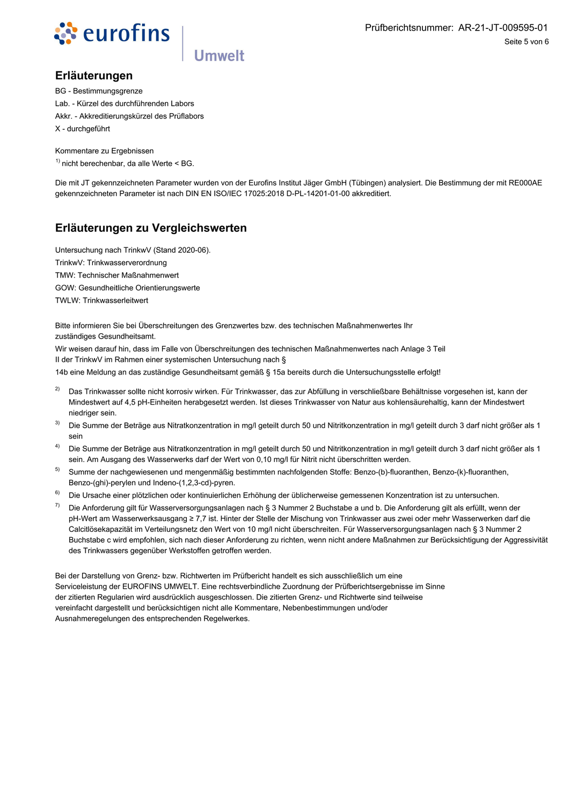

### Erläuterungen

**BG** - Bestimmungsgrenze Lab. - Kürzel des durchführenden Labors Akkr. - Akkreditierungskürzel des Prüflabors X - durchgeführt

Kommentare zu Ergebnissen  $<sup>1</sup>$  nicht berechenbar, da alle Werte < BG.</sup>

Die mit JT gekennzeichneten Parameter wurden von der Eurofins Institut Jäger GmbH (Tübingen) analysiert. Die Bestimmung der mit RE000AE gekennzeichneten Parameter ist nach DIN EN ISO/IEC 17025:2018 D-PL-14201-01-00 akkreditiert.

### Erläuterungen zu Vergleichswerten

Untersuchung nach TrinkwV (Stand 2020-06). TrinkwV: Trinkwasserverordnung TMW: Technischer Maßnahmenwert GOW: Gesundheitliche Orientierungswerte **TWLW: Trinkwasserleitwert** 

Bitte informieren Sie bei Überschreitungen des Grenzwertes bzw. des technischen Maßnahmenwertes Ihr zuständiges Gesundheitsamt

**Umwelt** 

Wir weisen darauf hin, dass im Falle von Überschreitungen des technischen Maßnahmenwertes nach Anlage 3 Teil II der TrinkwV im Rahmen einer systemischen Untersuchung nach §

14b eine Meldung an das zuständige Gesundheitsamt gemäß § 15a bereits durch die Untersuchungsstelle erfolgt!

- $2)$ Das Trinkwasser sollte nicht korrosiv wirken. Für Trinkwasser, das zur Abfüllung in verschließbare Behältnisse vorgesehen ist, kann der Mindestwert auf 4,5 pH-Einheiten herabgesetzt werden. Ist dieses Trinkwasser von Natur aus kohlensäurehaltig, kann der Mindestwert niedriger sein.
- $3)$ Die Summe der Beträge aus Nitratkonzentration in mg/l geteilt durch 50 und Nitritkonzentration in mg/l geteilt durch 3 darf nicht größer als 1 sein
- $4)$ Die Summe der Beträge aus Nitratkonzentration in mg/l geteilt durch 50 und Nitritkonzentration in mg/l geteilt durch 3 darf nicht größer als 1 sein. Am Ausgang des Wasserwerks darf der Wert von 0,10 mg/l für Nitrit nicht überschritten werden.
- $5)$ Summe der nachgewiesenen und mengenmäßig bestimmten nachfolgenden Stoffe: Benzo-(b)-fluoranthen, Benzo-(k)-fluoranthen, Benzo-(ghi)-perylen und Indeno-(1,2,3-cd)-pyren.
- $6)$ Die Ursache einer plötzlichen oder kontinuierlichen Erhöhung der üblicherweise gemessenen Konzentration ist zu untersuchen.
- $7)$ Die Anforderung gilt für Wasserversorgungsanlagen nach § 3 Nummer 2 Buchstabe a und b. Die Anforderung gilt als erfüllt, wenn der pH-Wert am Wasserwerksausgang ≥ 7,7 ist. Hinter der Stelle der Mischung von Trinkwasser aus zwei oder mehr Wasserwerken darf die Calcitlösekapazität im Verteilungsnetz den Wert von 10 mg/l nicht überschreiten. Für Wasserversorgungsanlagen nach § 3 Nummer 2 Buchstabe c wird empfohlen, sich nach dieser Anforderung zu richten, wenn nicht andere Maßnahmen zur Berücksichtigung der Aggressivität des Trinkwassers gegenüber Werkstoffen getroffen werden.

Bei der Darstellung von Grenz- bzw. Richtwerten im Prüfbericht handelt es sich ausschließlich um eine Serviceleistung der EUROFINS UMWELT. Eine rechtsverbindliche Zuordnung der Prüfberichtsergebnisse im Sinne der zitierten Regularien wird ausdrücklich ausgeschlossen. Die zitierten Grenz- und Richtwerte sind teilweise vereinfacht dargestellt und berücksichtigen nicht alle Kommentare, Nebenbestimmungen und/oder Ausnahmeregelungen des entsprechenden Regelwerkes.